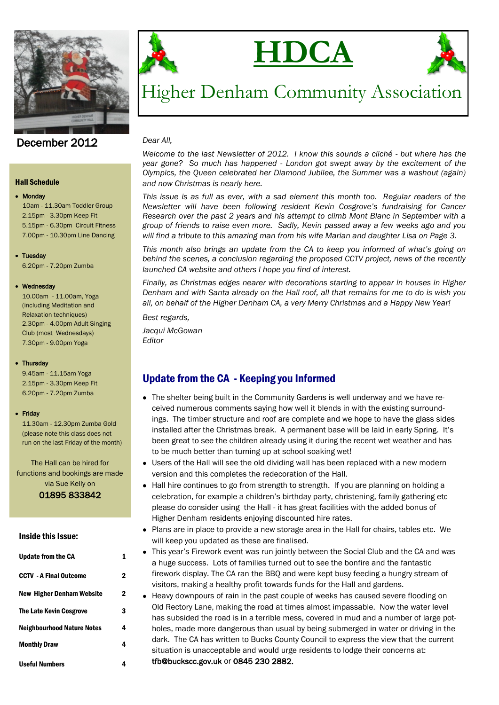



# **HDCA**



## Higher Denham Community Association

#### *Dear All,*

*Welcome to the last Newsletter of 2012. I know this sounds a cliché - but where has the year gone? So much has happened - London got swept away by the excitement of the Olympics, the Queen celebrated her Diamond Jubilee, the Summer was a washout (again) and now Christmas is nearly here.*

*This issue is as full as ever, with a sad element this month too. Regular readers of the Newsletter will have been following resident Kevin Cosgrove's fundraising for Cancer Research over the past 2 years and his attempt to climb Mont Blanc in September with a group of friends to raise even more. Sadly, Kevin passed away a few weeks ago and you will find a tribute to this amazing man from his wife Marian and daughter Lisa on Page 3.*

*This month also brings an update from the CA to keep you informed of what's going on behind the scenes, a conclusion regarding the proposed CCTV project, news of the recently launched CA website and others I hope you find of interest.* 

*Finally, as Christmas edges nearer with decorations starting to appear in houses in Higher Denham and with Santa already on the Hall roof, all that remains for me to do is wish you all, on behalf of the Higher Denham CA, a very Merry Christmas and a Happy New Year!*

*Best regards,*

*Jacqui McGowan Editor*

## Update from the CA - Keeping you Informed

- The shelter being built in the Community Gardens is well underway and we have received numerous comments saying how well it blends in with the existing surroundings. The timber structure and roof are complete and we hope to have the glass sides installed after the Christmas break. A permanent base will be laid in early Spring. It's been great to see the children already using it during the recent wet weather and has to be much better than turning up at school soaking wet!
- Users of the Hall will see the old dividing wall has been replaced with a new modern version and this completes the redecoration of the Hall.
- Hall hire continues to go from strength to strength. If you are planning on holding a celebration, for example a children's birthday party, christening, family gathering etc please do consider using the Hall - it has great facilities with the added bonus of Higher Denham residents enjoying discounted hire rates.
- Plans are in place to provide a new storage area in the Hall for chairs, tables etc. We will keep you updated as these are finalised.
- This year's Firework event was run jointly between the Social Club and the CA and was a huge success. Lots of families turned out to see the bonfire and the fantastic firework display. The CA ran the BBQ and were kept busy feeding a hungry stream of visitors, making a healthy profit towards funds for the Hall and gardens.
- Heavy downpours of rain in the past couple of weeks has caused severe flooding on Old Rectory Lane, making the road at times almost impassable. Now the water level has subsided the road is in a terrible mess, covered in mud and a number of large potholes, made more dangerous than usual by being submerged in water or driving in the dark. The CA has written to Bucks County Council to express the view that the current situation is unacceptable and would urge residents to lodge their concerns at: tfb@buckscc.gov.uk or 0845 230 2882.

December 2012

#### Hall Schedule

#### • Monday

10am - 11.30am Toddler Group 2.15pm - 3.30pm Keep Fit 5.15pm - 6.30pm Circuit Fitness 7.00pm - 10.30pm Line Dancing

#### • Tuesday

6.20pm - 7.20pm Zumba

#### Wednesday

 10.00am - 11.00am, Yoga (including Meditation and Relaxation techniques) 2.30pm - 4.00pm Adult Singing Club (most Wednesdays) 7.30pm - 9.00pm Yoga

#### • Thursday

 9.45am - 11.15am Yoga 2.15pm - 3.30pm Keep Fit 6.20pm - 7.20pm Zumba

#### • Friday

 11.30am - 12.30pm Zumba Gold (please note this class does not run on the last Friday of the month)

The Hall can be hired for functions and bookings are made via Sue Kelly on

01895 833842

#### Inside this Issue:

| <b>Update from the CA</b>         |   |
|-----------------------------------|---|
| <b>CCTV - A Final Outcome</b>     | 2 |
| New Higher Denham Website         | 2 |
| <b>The Late Kevin Cosgrove</b>    | 3 |
| <b>Neighbourhood Nature Notes</b> | 4 |
| <b>Monthly Draw</b>               | 4 |
| <b>Useful Numbers</b>             |   |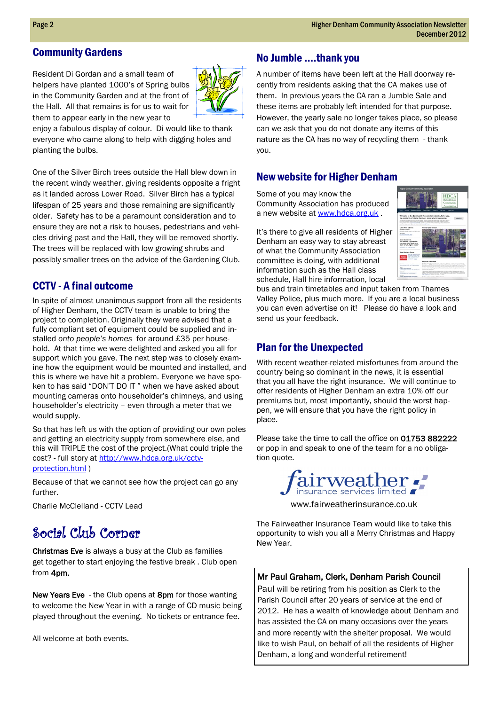## Community Gardens

Resident Di Gordan and a small team of helpers have planted 1000's of Spring bulbs in the Community Garden and at the front of the Hall. All that remains is for us to wait for them to appear early in the new year to



enjoy a fabulous display of colour. Di would like to thank everyone who came along to help with digging holes and planting the bulbs.

One of the Silver Birch trees outside the Hall blew down in the recent windy weather, giving residents opposite a fright as it landed across Lower Road. Silver Birch has a typical lifespan of 25 years and those remaining are significantly older. Safety has to be a paramount consideration and to ensure they are not a risk to houses, pedestrians and vehicles driving past and the Hall, they will be removed shortly. The trees will be replaced with low growing shrubs and possibly smaller trees on the advice of the Gardening Club.

## CCTV - A final outcome

In spite of almost unanimous support from all the residents of Higher Denham, the CCTV team is unable to bring the project to completion. Originally they were advised that a fully compliant set of equipment could be supplied and installed *onto people's homes* for around £35 per household. At that time we were delighted and asked you all for support which you gave. The next step was to closely examine how the equipment would be mounted and installed, and this is where we have hit a problem. Everyone we have spoken to has said "DON'T DO IT " when we have asked about mounting cameras onto householder's chimneys, and using householder's electricity – even through a meter that we would supply.

So that has left us with the option of providing our own poles and getting an electricity supply from somewhere else, and this will TRIPLE the cost of the project.(What could triple the cost? - full story at [http://www.hdca.org.uk/cctv](http://www.hdca.org.uk/cctv-protection.html)[protection.html](http://www.hdca.org.uk/cctv-protection.html) )

Because of that we cannot see how the project can go any further.

Charlie McClelland - CCTV Lead

## Social Club Corner

Christmas Eve is always a busy at the Club as families get together to start enjoying the festive break . Club open from 4pm.

New Years Eve - the Club opens at 8pm for those wanting to welcome the New Year in with a range of CD music being played throughout the evening. No tickets or entrance fee.

All welcome at both events.

## No Jumble ….thank you

A number of items have been left at the Hall doorway recently from residents asking that the CA makes use of them. In previous years the CA ran a Jumble Sale and these items are probably left intended for that purpose. However, the yearly sale no longer takes place, so please can we ask that you do not donate any items of this nature as the CA has no way of recycling them - thank you.

## New website for Higher Denham

Some of you may know the Community Association has produced a new website at [www.hdca.org.uk](http://www.hdca.org.uk/).

It's there to give all residents of Higher Denham an easy way to stay abreast of what the Community Association committee is doing, with additional information such as the Hall class schedule, Hall hire information, local



bus and train timetables and input taken from Thames Valley Police, plus much more. If you are a local business you can even advertise on it! Please do have a look and send us your feedback.

## Plan for the Unexpected

With recent weather-related misfortunes from around the country being so dominant in the news, it is essential that you all have the right insurance. We will continue to offer residents of Higher Denham an extra 10% off our premiums but, most importantly, should the worst happen, we will ensure that you have the right policy in place.

Please take the time to call the office on 01753 882222 or pop in and speak to one of the team for a no obligation quote.



www.fairweatherinsurance.co.uk

The Fairweather Insurance Team would like to take this opportunity to wish you all a Merry Christmas and Happy New Year.

### Mr Paul Graham, Clerk, Denham Parish Council

Paul will be retiring from his position as Clerk to the Parish Council after 20 years of service at the end of 2012. He has a wealth of knowledge about Denham and has assisted the CA on many occasions over the years and more recently with the shelter proposal. We would like to wish Paul, on behalf of all the residents of Higher Denham, a long and wonderful retirement!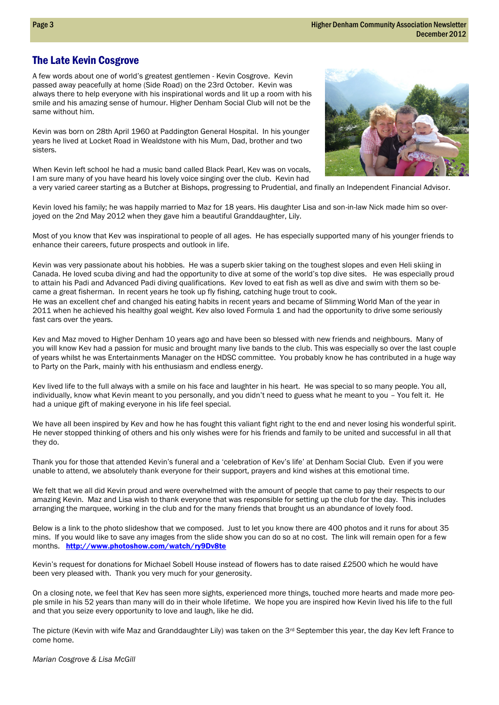## The Late Kevin Cosgrove

A few words about one of world's greatest gentlemen - Kevin Cosgrove. Kevin passed away peacefully at home (Side Road) on the 23rd October. Kevin was always there to help everyone with his inspirational words and lit up a room with his smile and his amazing sense of humour. Higher Denham Social Club will not be the same without him.

Kevin was born on 28th April 1960 at Paddington General Hospital. In his younger years he lived at Locket Road in Wealdstone with his Mum, Dad, brother and two sisters.

When Kevin left school he had a music band called Black Pearl, Kev was on vocals, I am sure many of you have heard his lovely voice singing over the club. Kevin had a very varied career starting as a Butcher at Bishops, progressing to Prudential, and finally an Independent Financial Advisor.



Kevin loved his family; he was happily married to Maz for 18 years. His daughter Lisa and son-in-law Nick made him so overjoyed on the 2nd May 2012 when they gave him a beautiful Granddaughter, Lily.

Most of you know that Kev was inspirational to people of all ages. He has especially supported many of his younger friends to enhance their careers, future prospects and outlook in life.

Kevin was very passionate about his hobbies. He was a superb skier taking on the toughest slopes and even Heli skiing in Canada. He loved scuba diving and had the opportunity to dive at some of the world's top dive sites. He was especially proud to attain his Padi and Advanced Padi diving qualifications. Kev loved to eat fish as well as dive and swim with them so became a great fisherman. In recent years he took up fly fishing, catching huge trout to cook.

He was an excellent chef and changed his eating habits in recent years and became of Slimming World Man of the year in 2011 when he achieved his healthy goal weight. Kev also loved Formula 1 and had the opportunity to drive some seriously fast cars over the years.

Kev and Maz moved to Higher Denham 10 years ago and have been so blessed with new friends and neighbours. Many of you will know Kev had a passion for music and brought many live bands to the club. This was especially so over the last couple of years whilst he was Entertainments Manager on the HDSC committee. You probably know he has contributed in a huge way to Party on the Park, mainly with his enthusiasm and endless energy.

Kev lived life to the full always with a smile on his face and laughter in his heart. He was special to so many people. You all, individually, know what Kevin meant to you personally, and you didn't need to guess what he meant to you – You felt it. He had a unique gift of making everyone in his life feel special.

We have all been inspired by Kev and how he has fought this valiant fight right to the end and never losing his wonderful spirit. He never stopped thinking of others and his only wishes were for his friends and family to be united and successful in all that they do.

Thank you for those that attended Kevin's funeral and a 'celebration of Kev's life' at Denham Social Club. Even if you were unable to attend, we absolutely thank everyone for their support, prayers and kind wishes at this emotional time.

We felt that we all did Kevin proud and were overwhelmed with the amount of people that came to pay their respects to our amazing Kevin. Maz and Lisa wish to thank everyone that was responsible for setting up the club for the day. This includes arranging the marquee, working in the club and for the many friends that brought us an abundance of lovely food.

Below is a link to the photo slideshow that we composed. Just to let you know there are 400 photos and it runs for about 35 mins. If you would like to save any images from the slide show you can do so at no cost. The link will remain open for a few months. [http://www.photoshow.com/watch/ry9Dv8te](http://www.photoshow.com/watch/ry9Dv8te?source=em_ps_show_recipient)

Kevin's request for donations for Michael Sobell House instead of flowers has to date raised £2500 which he would have been very pleased with. Thank you very much for your generosity.

On a closing note, we feel that Kev has seen more sights, experienced more things, touched more hearts and made more people smile in his 52 years than many will do in their whole lifetime. We hope you are inspired how Kevin lived his life to the full and that you seize every opportunity to love and laugh, like he did.

The picture (Kevin with wife Maz and Granddaughter Lily) was taken on the 3<sup>rd</sup> September this year, the day Kev left France to come home.

*Marian Cosgrove & Lisa McGill*